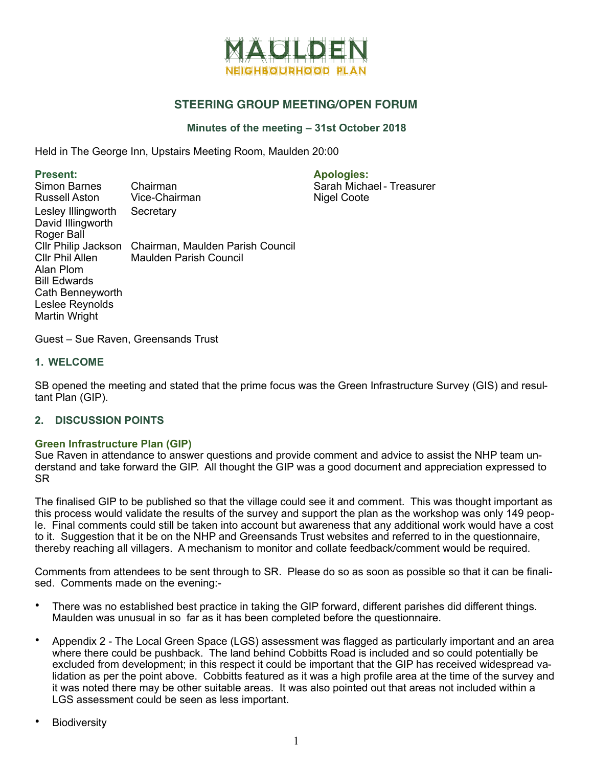

# **STEERING GROUP MEETING/OPEN FORUM**

# **Minutes of the meeting – 31st October 2018**

Held in The George Inn, Upstairs Meeting Room, Maulden 20:00

**Present: Apologies:** Simon Barnes Chairman<br>
Russell Aston Vice-Chairman Nigel Coote<br>
Nigel Coote Vice-Chairman Lesley Illingworth Secretary David Illingworth Roger Ball Cllr Philip Jackson Chairman, Maulden Parish Council<br>Cllr Phil Allen Maulden Parish Council Maulden Parish Council Alan Plom Bill Edwards Cath Benneyworth Leslee Reynolds Martin Wright

Guest – Sue Raven, Greensands Trust

#### **1. WELCOME**

SB opened the meeting and stated that the prime focus was the Green Infrastructure Survey (GIS) and resultant Plan (GIP).

# **2. DISCUSSION POINTS**

# **Green Infrastructure Plan (GIP)**

Sue Raven in attendance to answer questions and provide comment and advice to assist the NHP team understand and take forward the GIP. All thought the GIP was a good document and appreciation expressed to SR

The finalised GIP to be published so that the village could see it and comment. This was thought important as this process would validate the results of the survey and support the plan as the workshop was only 149 people. Final comments could still be taken into account but awareness that any additional work would have a cost to it. Suggestion that it be on the NHP and Greensands Trust websites and referred to in the questionnaire, thereby reaching all villagers. A mechanism to monitor and collate feedback/comment would be required.

Comments from attendees to be sent through to SR. Please do so as soon as possible so that it can be finalised. Comments made on the evening:-

- There was no established best practice in taking the GIP forward, different parishes did different things. Maulden was unusual in so far as it has been completed before the questionnaire.
- Appendix 2 The Local Green Space (LGS) assessment was flagged as particularly important and an area where there could be pushback. The land behind Cobbitts Road is included and so could potentially be excluded from development; in this respect it could be important that the GIP has received widespread validation as per the point above. Cobbitts featured as it was a high profile area at the time of the survey and it was noted there may be other suitable areas. It was also pointed out that areas not included within a LGS assessment could be seen as less important.
- Biodiversity